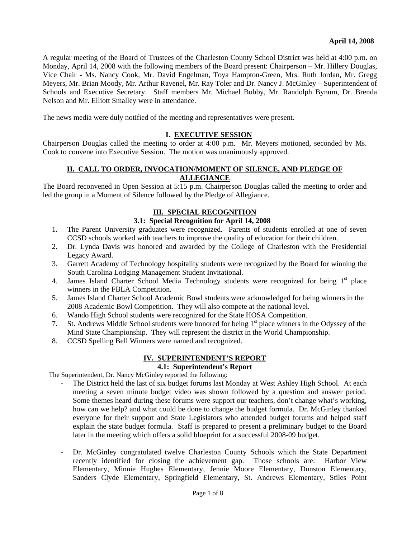A regular meeting of the Board of Trustees of the Charleston County School District was held at 4:00 p.m. on Monday, April 14, 2008 with the following members of the Board present: Chairperson – Mr. Hillery Douglas, Vice Chair - Ms. Nancy Cook, Mr. David Engelman, Toya Hampton-Green, Mrs. Ruth Jordan, Mr. Gregg Meyers, Mr. Brian Moody, Mr. Arthur Ravenel, Mr. Ray Toler and Dr. Nancy J. McGinley – Superintendent of Schools and Executive Secretary. Staff members Mr. Michael Bobby, Mr. Randolph Bynum, Dr. Brenda Nelson and Mr. Elliott Smalley were in attendance.

The news media were duly notified of the meeting and representatives were present.

#### **I. EXECUTIVE SESSION**

Chairperson Douglas called the meeting to order at 4:00 p.m. Mr. Meyers motioned, seconded by Ms. Cook to convene into Executive Session. The motion was unanimously approved.

#### **II. CALL TO ORDER, INVOCATION/MOMENT OF SILENCE, AND PLEDGE OF ALLEGIANCE**

The Board reconvened in Open Session at 5:15 p.m. Chairperson Douglas called the meeting to order and led the group in a Moment of Silence followed by the Pledge of Allegiance.

#### **III. SPECIAL RECOGNITION**

## **3.1: Special Recognition for April 14, 2008**

- 1. The Parent University graduates were recognized. Parents of students enrolled at one of seven CCSD schools worked with teachers to improve the quality of education for their children.
- 2. Dr. Lynda Davis was honored and awarded by the College of Charleston with the Presidential Legacy Award.
- 3. Garrett Academy of Technology hospitality students were recognized by the Board for winning the South Carolina Lodging Management Student Invitational.
- 4. James Island Charter School Media Technology students were recognized for being  $1<sup>st</sup>$  place winners in the FBLA Competition.
- 5. James Island Charter School Academic Bowl students were acknowledged for being winners in the 2008 Academic Bowl Competition. They will also compete at the national level.
- 6. Wando High School students were recognized for the State HOSA Competition.
- 7. St. Andrews Middle School students were honored for being 1<sup>st</sup> place winners in the Odyssey of the Mind State Championship. They will represent the district in the World Championship.
- 8. CCSD Spelling Bell Winners were named and recognized.

#### **IV. SUPERINTENDENT'S REPORT**

# **4.1: Superintendent's Report**

The Superintendent, Dr. Nancy McGinley reported the following:

- The District held the last of six budget forums last Monday at West Ashley High School. At each meeting a seven minute budget video was shown followed by a question and answer period. Some themes heard during these forums were support our teachers, don't change what's working, how can we help? and what could be done to change the budget formula. Dr. McGinley thanked everyone for their support and State Legislators who attended budget forums and helped staff explain the state budget formula. Staff is prepared to present a preliminary budget to the Board later in the meeting which offers a solid blueprint for a successful 2008-09 budget.
- Dr. McGinley congratulated twelve Charleston County Schools which the State Department recently identified for closing the achievement gap. Those schools are: Harbor View Elementary, Minnie Hughes Elementary, Jennie Moore Elementary, Dunston Elementary, Sanders Clyde Elementary, Springfield Elementary, St. Andrews Elementary, Stiles Point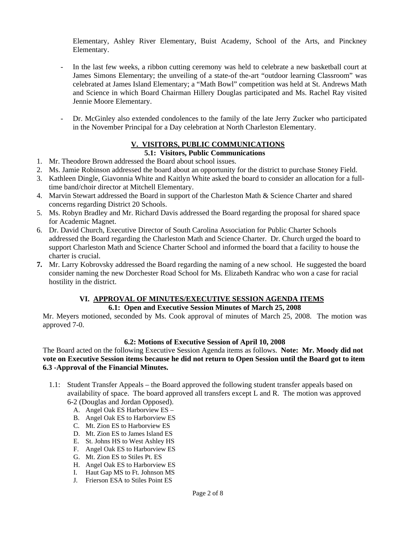Elementary, Ashley River Elementary, Buist Academy, School of the Arts, and Pinckney Elementary.

- In the last few weeks, a ribbon cutting ceremony was held to celebrate a new basketball court at James Simons Elementary; the unveiling of a state-of the-art "outdoor learning Classroom" was celebrated at James Island Elementary; a "Math Bowl" competition was held at St. Andrews Math and Science in which Board Chairman Hillery Douglas participated and Ms. Rachel Ray visited Jennie Moore Elementary.
- Dr. McGinley also extended condolences to the family of the late Jerry Zucker who participated in the November Principal for a Day celebration at North Charleston Elementary.

# **V. VISITORS, PUBLIC COMMUNICATIONS**

## **5.1: Visitors, Public Communications**

- 1. Mr. Theodore Brown addressed the Board about school issues.
- 2. Ms. Jamie Robinson addressed the board about an opportunity for the district to purchase Stoney Field.
- 3. Kathleen Dingle, Giavonnia White and Kaitlyn White asked the board to consider an allocation for a fulltime band/choir director at Mitchell Elementary.
- 4. Marvin Stewart addressed the Board in support of the Charleston Math & Science Charter and shared concerns regarding District 20 Schools.
- 5. Ms. Robyn Bradley and Mr. Richard Davis addressed the Board regarding the proposal for shared space for Academic Magnet.
- 6. Dr. David Church, Executive Director of South Carolina Association for Public Charter Schools addressed the Board regarding the Charleston Math and Science Charter. Dr. Church urged the board to support Charleston Math and Science Charter School and informed the board that a facility to house the charter is crucial.
- **7.** Mr. Larry Kobrovsky addressed the Board regarding the naming of a new school. He suggested the board consider naming the new Dorchester Road School for Ms. Elizabeth Kandrac who won a case for racial hostility in the district.

# **VI. APPROVAL OF MINUTES/EXECUTIVE SESSION AGENDA ITEMS**

## **6.1: Open and Executive Session Minutes of March 25, 2008**

Mr. Meyers motioned, seconded by Ms. Cook approval of minutes of March 25, 2008. The motion was approved 7-0.

# **6.2: Motions of Executive Session of April 10, 2008**

The Board acted on the following Executive Session Agenda items as follows. **Note: Mr. Moody did not vote on Executive Session items because he did not return to Open Session until the Board got to item 6.3 -Approval of the Financial Minutes.** 

- 1.1: Student Transfer Appeals the Board approved the following student transfer appeals based on availability of space. The board approved all transfers except L and R. The motion was approved 6-2 (Douglas and Jordan Opposed).
	- A. Angel Oak ES Harborview ES –
	- B. Angel Oak ES to Harborview ES
	- C. Mt. Zion ES to Harborview ES
	- D. Mt. Zion ES to James Island ES
	- E. St. Johns HS to West Ashley HS
	- F. Angel Oak ES to Harborview ES
	- G. Mt. Zion ES to Stiles Pt. ES
	- H. Angel Oak ES to Harborview ES
	- I. Haut Gap MS to Ft. Johnson MS
	- J. Frierson ESA to Stiles Point ES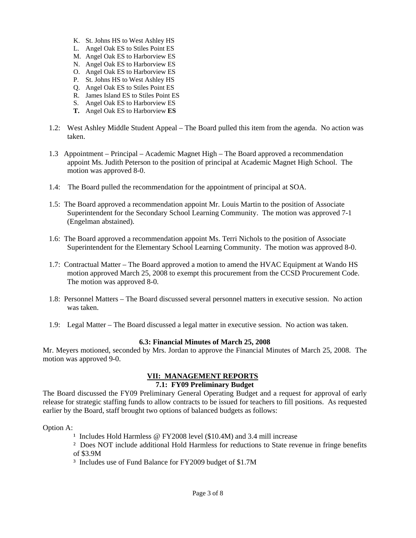- K. St. Johns HS to West Ashley HS
- L. Angel Oak ES to Stiles Point ES
- M. Angel Oak ES to Harborview ES
- N. Angel Oak ES to Harborview ES
- O. Angel Oak ES to Harborview ES
- P. St. Johns HS to West Ashley HS
- Q. Angel Oak ES to Stiles Point ES
- R. James Island ES to Stiles Point ES
- S. Angel Oak ES to Harborview ES
- **T.** Angel Oak ES to Harborview **ES**
- 1.2: West Ashley Middle Student Appeal The Board pulled this item from the agenda. No action was taken.
- 1.3 Appointment Principal Academic Magnet High The Board approved a recommendation appoint Ms. Judith Peterson to the position of principal at Academic Magnet High School. The motion was approved 8-0.
- 1.4: The Board pulled the recommendation for the appointment of principal at SOA.
- 1.5: The Board approved a recommendation appoint Mr. Louis Martin to the position of Associate Superintendent for the Secondary School Learning Community. The motion was approved 7-1 (Engelman abstained).
- 1.6: The Board approved a recommendation appoint Ms. Terri Nichols to the position of Associate Superintendent for the Elementary School Learning Community. The motion was approved 8-0.
- 1.7: Contractual Matter The Board approved a motion to amend the HVAC Equipment at Wando HS motion approved March 25, 2008 to exempt this procurement from the CCSD Procurement Code. The motion was approved 8-0.
- 1.8: Personnel Matters The Board discussed several personnel matters in executive session. No action was taken.
- 1.9: Legal Matter The Board discussed a legal matter in executive session. No action was taken.

#### **6.3: Financial Minutes of March 25, 2008**

Mr. Meyers motioned, seconded by Mrs. Jordan to approve the Financial Minutes of March 25, 2008. The motion was approved 9-0.

#### **VII: MANAGEMENT REPORTS 7.1: FY09 Preliminary Budget**

The Board discussed the FY09 Preliminary General Operating Budget and a request for approval of early release for strategic staffing funds to allow contracts to be issued for teachers to fill positions. As requested earlier by the Board, staff brought two options of balanced budgets as follows:

Option A:

- <sup>1</sup> Includes Hold Harmless @ FY2008 level (\$10.4M) and 3.4 mill increase
- ² Does NOT include additional Hold Harmless for reductions to State revenue in fringe benefits of \$3.9M
- ³ Includes use of Fund Balance for FY2009 budget of \$1.7M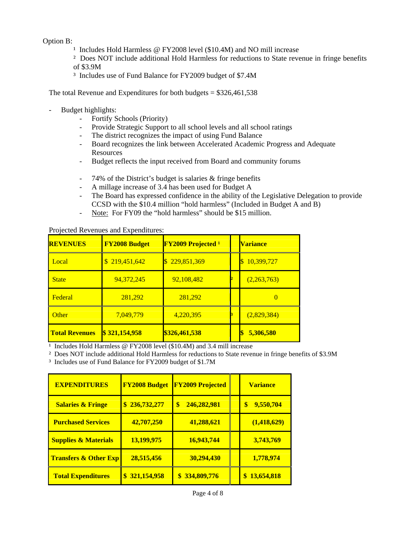### Option B:

- <sup>1</sup> Includes Hold Harmless @ FY2008 level (\$10.4M) and NO mill increase
- ² Does NOT include additional Hold Harmless for reductions to State revenue in fringe benefits of \$3.9M
- ³ Includes use of Fund Balance for FY2009 budget of \$7.4M

The total Revenue and Expenditures for both budgets  $= $326,461,538$ 

- Budget highlights:
	- Fortify Schools (Priority)
	- Provide Strategic Support to all school levels and all school ratings
	- The district recognizes the impact of using Fund Balance
	- Board recognizes the link between Accelerated Academic Progress and Adequate Resources
	- Budget reflects the input received from Board and community forums
	- 74% of the District's budget is salaries & fringe benefits
	- A millage increase of 3.4 has been used for Budget A
	- The Board has expressed confidence in the ability of the Legislative Delegation to provide CCSD with the \$10.4 million "hold harmless" (Included in Budget A and B)
	- Note: For FY09 the "hold harmless" should be \$15 million.

| <b>REVENUES</b>       | <b>FY2008 Budget</b>        | <b>FY2009 Projected 1</b> | <b>Variance</b> |
|-----------------------|-----------------------------|---------------------------|-----------------|
| Local                 | 219,451,642<br>$\mathbb{S}$ | 229,851,369               | 10,399,727<br>S |
| <b>State</b>          | 94,372,245                  | 92,108,482                | (2,263,763)     |
| Federal               | 281,292                     | 281,292                   | $\overline{0}$  |
| Other                 | 7,049,779                   | 4,220,395                 | (2,829,384)     |
| <b>Total Revenues</b> | \$321,154,958               | \$326,461,538             | 5,306,580       |

Projected Revenues and Expenditures:

 $\frac{1}{1}$  Includes Hold Harmless @ FY2008 level (\$10.4M) and 3.4 mill increase

² Does NOT include additional Hold Harmless for reductions to State revenue in fringe benefits of \$3.9M

³ Includes use of Fund Balance for FY2009 budget of \$1.7M

| <b>EXPENDITURES</b>              | <b>FY2008 Budget</b> | <b>FY2009 Projected</b> | <b>Variance</b>  |
|----------------------------------|----------------------|-------------------------|------------------|
| <b>Salaries &amp; Fringe</b>     | \$236,732,277        | 246,282,981<br>\$       | 9,550,704<br>\$  |
| <b>Purchased Services</b>        | 42,707,250           | 41,288,621              | (1, 418, 629)    |
| <b>Supplies &amp; Materials</b>  | 13,199,975           | 16,943,744              | 3,743,769        |
| <b>Transfers &amp; Other Exp</b> | 28,515,456           | 30,294,430              | 1,778,974        |
| <b>Total Expenditures</b>        | 321,154,958          | \$334,809,776           | 13,654,818<br>\$ |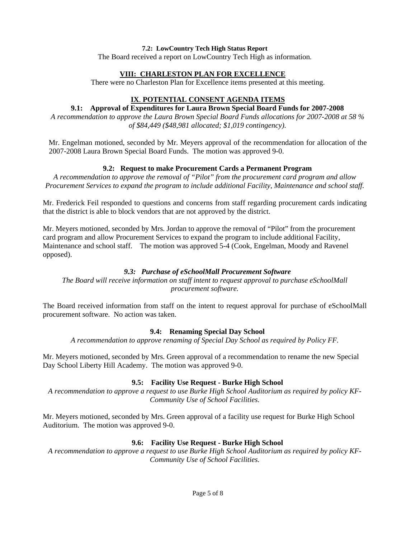#### **7.2: LowCountry Tech High Status Report**

The Board received a report on LowCountry Tech High as information.

#### **VIII: CHARLESTON PLAN FOR EXCELLENCE**

There were no Charleston Plan for Excellence items presented at this meeting.

# **IX**. **POTENTIAL CONSENT AGENDA ITEMS**

#### **9.1: Approval of Expenditures for Laura Brown Special Board Funds for 2007-2008**

*A recommendation to approve the Laura Brown Special Board Funds allocations for 2007-2008 at 58 % of \$84,449 (\$48,981 allocated; \$1,019 contingency).* 

Mr. Engelman motioned, seconded by Mr. Meyers approval of the recommendation for allocation of the 2007-2008 Laura Brown Special Board Funds. The motion was approved 9-0.

# **9.2: Request to make Procurement Cards a Permanent Program**

*A recommendation to approve the removal of "Pilot" from the procurement card program and allow Procurement Services to expand the program to include additional Facility, Maintenance and school staff.* 

Mr. Frederick Feil responded to questions and concerns from staff regarding procurement cards indicating that the district is able to block vendors that are not approved by the district.

Mr. Meyers motioned, seconded by Mrs. Jordan to approve the removal of "Pilot" from the procurement card program and allow Procurement Services to expand the program to include additional Facility, Maintenance and school staff.The motion was approved 5-4 (Cook, Engelman, Moody and Ravenel opposed).

## *9.3: Purchase of eSchoolMall Procurement Software*

*The Board will receive information on staff intent to request approval to purchase eSchoolMall procurement software.* 

The Board received information from staff on the intent to request approval for purchase of eSchoolMall procurement software. No action was taken.

# **9.4: Renaming Special Day School**

*A recommendation to approve renaming of Special Day School as required by Policy FF.* 

Mr. Meyers motioned, seconded by Mrs. Green approval of a recommendation to rename the new Special Day School Liberty Hill Academy. The motion was approved 9-0.

# **9.5: Facility Use Request - Burke High School**

*A recommendation to approve a request to use Burke High School Auditorium as required by policy KF-Community Use of School Facilities.* 

Mr. Meyers motioned, seconded by Mrs. Green approval of a facility use request for Burke High School Auditorium. The motion was approved 9-0.

# **9.6: Facility Use Request - Burke High School**

*A recommendation to approve a request to use Burke High School Auditorium as required by policy KF-Community Use of School Facilities.*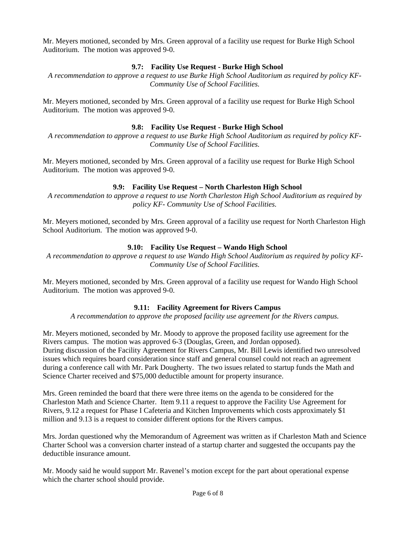Mr. Meyers motioned, seconded by Mrs. Green approval of a facility use request for Burke High School Auditorium. The motion was approved 9-0.

## **9.7: Facility Use Request - Burke High School**

*A recommendation to approve a request to use Burke High School Auditorium as required by policy KF-Community Use of School Facilities.* 

Mr. Meyers motioned, seconded by Mrs. Green approval of a facility use request for Burke High School Auditorium. The motion was approved 9-0.

## **9.8: Facility Use Request - Burke High School**

*A recommendation to approve a request to use Burke High School Auditorium as required by policy KF-Community Use of School Facilities.* 

Mr. Meyers motioned, seconded by Mrs. Green approval of a facility use request for Burke High School Auditorium. The motion was approved 9-0.

# **9.9: Facility Use Request – North Charleston High School**

*A recommendation to approve a request to use North Charleston High School Auditorium as required by policy KF- Community Use of School Facilities.* 

Mr. Meyers motioned, seconded by Mrs. Green approval of a facility use request for North Charleston High School Auditorium. The motion was approved 9-0.

## **9.10: Facility Use Request – Wando High School**

*A recommendation to approve a request to use Wando High School Auditorium as required by policy KF-Community Use of School Facilities.* 

Mr. Meyers motioned, seconded by Mrs. Green approval of a facility use request for Wando High School Auditorium. The motion was approved 9-0.

# **9.11: Facility Agreement for Rivers Campus**

*A recommendation to approve the proposed facility use agreement for the Rivers campus.* 

Mr. Meyers motioned, seconded by Mr. Moody to approve the proposed facility use agreement for the Rivers campus. The motion was approved 6-3 (Douglas, Green, and Jordan opposed). During discussion of the Facility Agreement for Rivers Campus, Mr. Bill Lewis identified two unresolved issues which requires board consideration since staff and general counsel could not reach an agreement during a conference call with Mr. Park Dougherty. The two issues related to startup funds the Math and Science Charter received and \$75,000 deductible amount for property insurance.

Mrs. Green reminded the board that there were three items on the agenda to be considered for the Charleston Math and Science Charter. Item 9.11 a request to approve the Facility Use Agreement for Rivers, 9.12 a request for Phase I Cafeteria and Kitchen Improvements which costs approximately \$1 million and 9.13 is a request to consider different options for the Rivers campus.

Mrs. Jordan questioned why the Memorandum of Agreement was written as if Charleston Math and Science Charter School was a conversion charter instead of a startup charter and suggested the occupants pay the deductible insurance amount.

Mr. Moody said he would support Mr. Ravenel's motion except for the part about operational expense which the charter school should provide.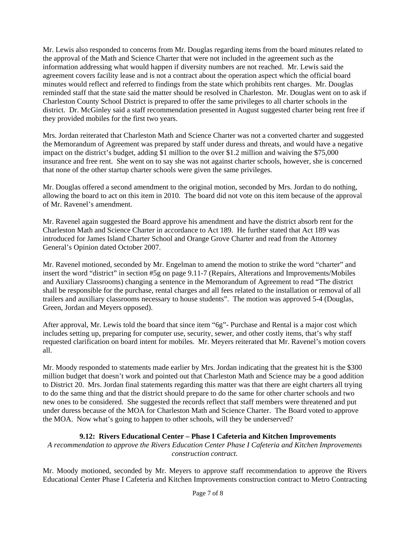Mr. Lewis also responded to concerns from Mr. Douglas regarding items from the board minutes related to the approval of the Math and Science Charter that were not included in the agreement such as the information addressing what would happen if diversity numbers are not reached. Mr. Lewis said the agreement covers facility lease and is not a contract about the operation aspect which the official board minutes would reflect and referred to findings from the state which prohibits rent charges. Mr. Douglas reminded staff that the state said the matter should be resolved in Charleston. Mr. Douglas went on to ask if Charleston County School District is prepared to offer the same privileges to all charter schools in the district. Dr. McGinley said a staff recommendation presented in August suggested charter being rent free if they provided mobiles for the first two years.

Mrs. Jordan reiterated that Charleston Math and Science Charter was not a converted charter and suggested the Memorandum of Agreement was prepared by staff under duress and threats, and would have a negative impact on the district's budget, adding \$1 million to the over \$1.2 million and waiving the \$75,000 insurance and free rent. She went on to say she was not against charter schools, however, she is concerned that none of the other startup charter schools were given the same privileges.

Mr. Douglas offered a second amendment to the original motion, seconded by Mrs. Jordan to do nothing, allowing the board to act on this item in 2010. The board did not vote on this item because of the approval of Mr. Ravenel's amendment.

Mr. Ravenel again suggested the Board approve his amendment and have the district absorb rent for the Charleston Math and Science Charter in accordance to Act 189. He further stated that Act 189 was introduced for James Island Charter School and Orange Grove Charter and read from the Attorney General's Opinion dated October 2007.

Mr. Ravenel motioned, seconded by Mr. Engelman to amend the motion to strike the word "charter" and insert the word "district" in section #5g on page 9.11-7 (Repairs, Alterations and Improvements/Mobiles and Auxiliary Classrooms) changing a sentence in the Memorandum of Agreement to read "The district shall be responsible for the purchase, rental charges and all fees related to the installation or removal of all trailers and auxiliary classrooms necessary to house students". The motion was approved 5-4 (Douglas, Green, Jordan and Meyers opposed).

After approval, Mr. Lewis told the board that since item "6g"- Purchase and Rental is a major cost which includes setting up, preparing for computer use, security, sewer, and other costly items, that's why staff requested clarification on board intent for mobiles. Mr. Meyers reiterated that Mr. Ravenel's motion covers all.

Mr. Moody responded to statements made earlier by Mrs. Jordan indicating that the greatest hit is the \$300 million budget that doesn't work and pointed out that Charleston Math and Science may be a good addition to District 20. Mrs. Jordan final statements regarding this matter was that there are eight charters all trying to do the same thing and that the district should prepare to do the same for other charter schools and two new ones to be considered. She suggested the records reflect that staff members were threatened and put under duress because of the MOA for Charleston Math and Science Charter. The Board voted to approve the MOA. Now what's going to happen to other schools, will they be underserved?

# **9.12: Rivers Educational Center – Phase I Cafeteria and Kitchen Improvements**

*A recommendation to approve the Rivers Education Center Phase I Cafeteria and Kitchen Improvements construction contract.*

Mr. Moody motioned, seconded by Mr. Meyers to approve staff recommendation to approve the Rivers Educational Center Phase I Cafeteria and Kitchen Improvements construction contract to Metro Contracting